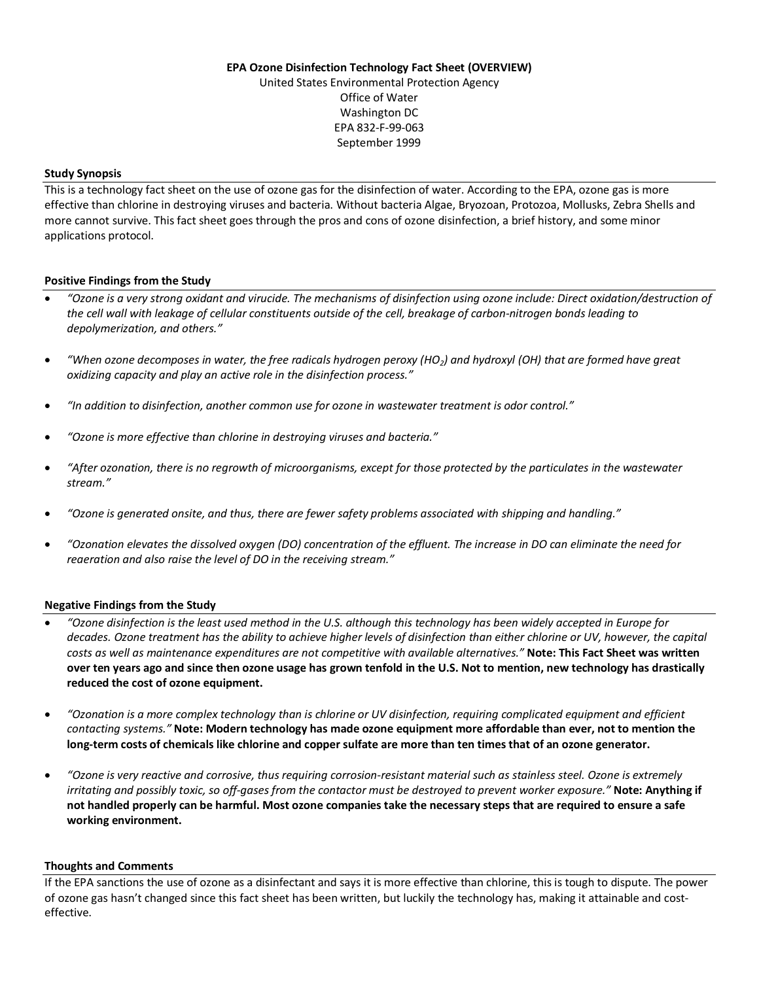**EPA Ozone Disinfection Technology Fact Sheet (OVERVIEW)** United States Environmental Protection Agency Office of Water Washington DC EPA 832-F-99-063 September 1999

#### **Study Synopsis**

This is a technology fact sheet on the use of ozone gas for the disinfection of water. According to the EPA, ozone gas is more effective than chlorine in destroying viruses and bacteria. Without bacteria Algae, Bryozoan, Protozoa, Mollusks, Zebra Shells and more cannot survive. This fact sheet goes through the pros and cons of ozone disinfection, a brief history, and some minor applications protocol.

#### **Positive Findings from the Study**

- *"Ozone is a very strong oxidant and virucide. The mechanisms of disinfection using ozone include: Direct oxidation/destruction of the cell wall with leakage of cellular constituents outside of the cell, breakage of carbon-nitrogen bonds leading to depolymerization, and others."*
- *"When ozone decomposes in water, the free radicals hydrogen peroxy (HO2) and hydroxyl (OH) that are formed have great oxidizing capacity and play an active role in the disinfection process."*
- *"In addition to disinfection, another common use for ozone in wastewater treatment is odor control."*
- *"Ozone is more effective than chlorine in destroying viruses and bacteria."*
- *"After ozonation, there is no regrowth of microorganisms, except for those protected by the particulates in the wastewater stream."*
- *"Ozone is generated onsite, and thus, there are fewer safety problems associated with shipping and handling."*
- *"Ozonation elevates the dissolved oxygen (DO) concentration of the effluent. The increase in DO can eliminate the need for reaeration and also raise the level of DO in the receiving stream."*

#### **Negative Findings from the Study**

- *"Ozone disinfection is the least used method in the U.S. although this technology has been widely accepted in Europe for decades. Ozone treatment has the ability to achieve higher levels of disinfection than either chlorine or UV, however, the capital costs as well as maintenance expenditures are not competitive with available alternatives."* **Note: This Fact Sheet was written over ten years ago and since then ozone usage has grown tenfold in the U.S. Not to mention, new technology has drastically reduced the cost of ozone equipment.**
- *"Ozonation is a more complex technology than is chlorine or UV disinfection, requiring complicated equipment and efficient contacting systems."* **Note: Modern technology has made ozone equipment more affordable than ever, not to mention the long-term costs of chemicals like chlorine and copper sulfate are more than ten times that of an ozone generator.**
- *"Ozone is very reactive and corrosive, thus requiring corrosion-resistant material such as stainless steel. Ozone is extremely irritating and possibly toxic, so off-gases from the contactor must be destroyed to prevent worker exposure."* **Note: Anything if not handled properly can be harmful. Most ozone companies take the necessary steps that are required to ensure a safe working environment.**

#### **Thoughts and Comments**

If the EPA sanctions the use of ozone as a disinfectant and says it is more effective than chlorine, this is tough to dispute. The power of ozone gas hasn't changed since this fact sheet has been written, but luckily the technology has, making it attainable and costeffective.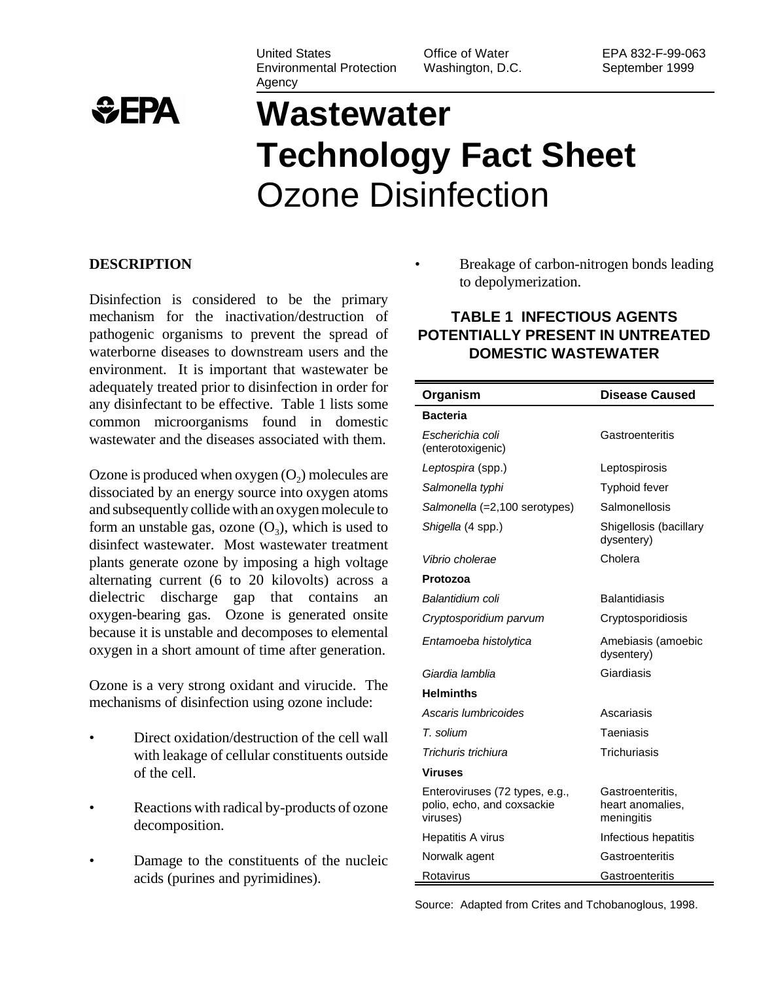

#### United States Environmental Protection Agency

Office of Water Washington, D.C.

#### EPA 832-F-99-063 September 1999

# **Wastewater Technology Fact Sheet** Ozone Disinfection

## **DESCRIPTION**

Disinfection is considered to be the primary mechanism for the inactivation/destruction of pathogenic organisms to prevent the spread of waterborne diseases to downstream users and the environment. It is important that wastewater be adequately treated prior to disinfection in order for any disinfectant to be effective. Table 1 lists some common microorganisms found in domestic wastewater and the diseases associated with them.

Ozone is produced when oxygen  $(O_2)$  molecules are dissociated by an energy source into oxygen atoms and subsequently collide with an oxygen molecule to form an unstable gas, ozone  $(O_3)$ , which is used to disinfect wastewater. Most wastewater treatment plants generate ozone by imposing a high voltage alternating current (6 to 20 kilovolts) across a dielectric discharge gap that contains an oxygen-bearing gas. Ozone is generated onsite because it is unstable and decomposes to elemental oxygen in a short amount of time after generation.

Ozone is a very strong oxidant and virucide. The mechanisms of disinfection using ozone include:

- Direct oxidation/destruction of the cell wall with leakage of cellular constituents outside of the cell.
- Reactions with radical by-products of ozone decomposition.
- Damage to the constituents of the nucleic acids (purines and pyrimidines).

• Breakage of carbon-nitrogen bonds leading to depolymerization.

# **TABLE 1 INFECTIOUS AGENTS POTENTIALLY PRESENT IN UNTREATED DOMESTIC WASTEWATER**

| Organism                                                                 | <b>Disease Caused</b>                              |
|--------------------------------------------------------------------------|----------------------------------------------------|
| <b>Bacteria</b>                                                          |                                                    |
| Escherichia coli<br>(enterotoxigenic)                                    | Gastroenteritis                                    |
| Leptospira (spp.)                                                        | Leptospirosis                                      |
| Salmonella typhi                                                         | <b>Typhoid fever</b>                               |
| Salmonella (=2,100 serotypes)                                            | Salmonellosis                                      |
| Shigella (4 spp.)                                                        | Shigellosis (bacillary<br>dysentery)               |
| Vibrio cholerae                                                          | Cholera                                            |
| Protozoa                                                                 |                                                    |
| Balantidium coli                                                         | <b>Balantidiasis</b>                               |
| Cryptosporidium parvum                                                   | Cryptosporidiosis                                  |
| Entamoeba histolytica                                                    | Amebiasis (amoebic<br>dysentery)                   |
| Giardia lamblia                                                          | Giardiasis                                         |
| <b>Helminths</b>                                                         |                                                    |
| Ascaris lumbricoides                                                     | Ascariasis                                         |
| T. solium                                                                | Taeniasis                                          |
| Trichuris trichiura                                                      | Trichuriasis                                       |
| <b>Viruses</b>                                                           |                                                    |
| Enteroviruses (72 types, e.g.,<br>polio, echo, and coxsackie<br>viruses) | Gastroenteritis,<br>heart anomalies,<br>meningitis |
| <b>Hepatitis A virus</b>                                                 | Infectious hepatitis                               |
| Norwalk agent                                                            | Gastroenteritis                                    |
| Rotavirus                                                                | Gastroenteritis                                    |

Source: Adapted from Crites and Tchobanoglous, 1998.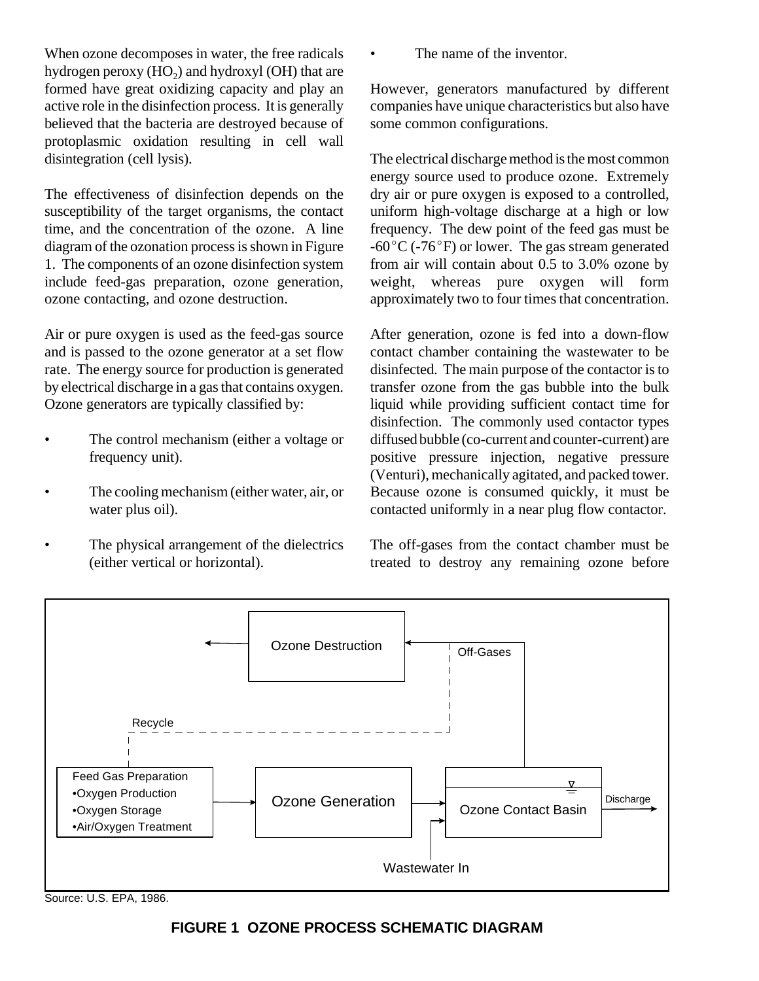When ozone decomposes in water, the free radicals hydrogen peroxy  $(HO<sub>2</sub>)$  and hydroxyl  $(OH)$  that are formed have great oxidizing capacity and play an active role in the disinfection process. It is generally believed that the bacteria are destroyed because of protoplasmic oxidation resulting in cell wall disintegration (cell lysis).

The effectiveness of disinfection depends on the susceptibility of the target organisms, the contact time, and the concentration of the ozone. A line diagram of the ozonation process is shown in Figure 1. The components of an ozone disinfection system include feed-gas preparation, ozone generation, ozone contacting, and ozone destruction.

Air or pure oxygen is used as the feed-gas source and is passed to the ozone generator at a set flow rate. The energy source for production is generated by electrical discharge in a gas that contains oxygen. Ozone generators are typically classified by:

- The control mechanism (either a voltage or frequency unit).
- The cooling mechanism (either water, air, or water plus oil).
- The physical arrangement of the dielectrics (either vertical or horizontal).

The name of the inventor.

However, generators manufactured by different companies have unique characteristics but also have some common configurations.

The electrical discharge method is the most common energy source used to produce ozone. Extremely dry air or pure oxygen is exposed to a controlled, uniform high-voltage discharge at a high or low frequency. The dew point of the feed gas must be  $-60^{\circ}$ C (-76 $^{\circ}$ F) or lower. The gas stream generated from air will contain about 0.5 to 3.0% ozone by weight, whereas pure oxygen will form approximately two to four times that concentration.

After generation, ozone is fed into a down-flow contact chamber containing the wastewater to be disinfected. The main purpose of the contactor is to transfer ozone from the gas bubble into the bulk liquid while providing sufficient contact time for disinfection. The commonly used contactor types diffused bubble (co-current and counter-current) are positive pressure injection, negative pressure (Venturi), mechanically agitated, and packed tower. Because ozone is consumed quickly, it must be contacted uniformly in a near plug flow contactor.

The off-gases from the contact chamber must be treated to destroy any remaining ozone before



Source: U.S. EPA, 1986.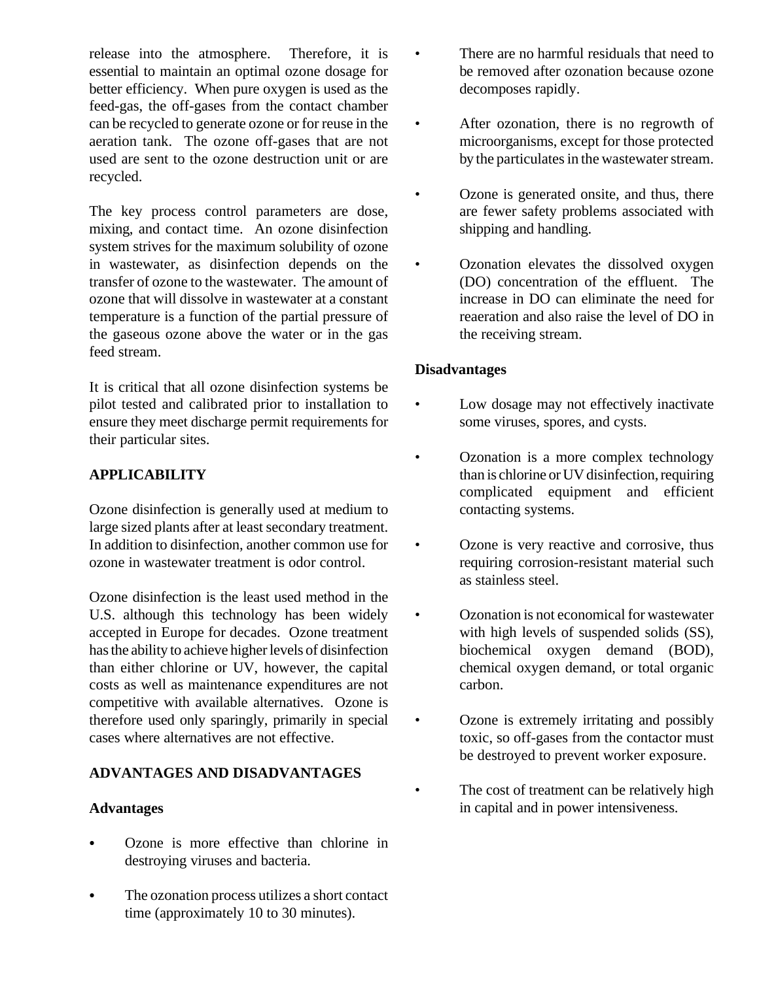release into the atmosphere. Therefore, it is essential to maintain an optimal ozone dosage for better efficiency. When pure oxygen is used as the feed-gas, the off-gases from the contact chamber can be recycled to generate ozone or for reuse in the aeration tank. The ozone off-gases that are not used are sent to the ozone destruction unit or are recycled.

The key process control parameters are dose, mixing, and contact time. An ozone disinfection system strives for the maximum solubility of ozone in wastewater, as disinfection depends on the transfer of ozone to the wastewater. The amount of ozone that will dissolve in wastewater at a constant temperature is a function of the partial pressure of the gaseous ozone above the water or in the gas feed stream.

It is critical that all ozone disinfection systems be pilot tested and calibrated prior to installation to ensure they meet discharge permit requirements for their particular sites.

# **APPLICABILITY**

Ozone disinfection is generally used at medium to large sized plants after at least secondary treatment. In addition to disinfection, another common use for ozone in wastewater treatment is odor control.

Ozone disinfection is the least used method in the U.S. although this technology has been widely accepted in Europe for decades. Ozone treatment has the ability to achieve higher levels of disinfection than either chlorine or UV, however, the capital costs as well as maintenance expenditures are not competitive with available alternatives. Ozone is therefore used only sparingly, primarily in special cases where alternatives are not effective.

# **ADVANTAGES AND DISADVANTAGES**

# **Advantages**

- C Ozone is more effective than chlorine in destroying viruses and bacteria.
- The ozonation process utilizes a short contact time (approximately 10 to 30 minutes).
- There are no harmful residuals that need to be removed after ozonation because ozone decomposes rapidly.
- After ozonation, there is no regrowth of microorganisms, except for those protected by the particulates in the wastewater stream.
- Ozone is generated onsite, and thus, there are fewer safety problems associated with shipping and handling.
- Ozonation elevates the dissolved oxygen (DO) concentration of the effluent. The increase in DO can eliminate the need for reaeration and also raise the level of DO in the receiving stream.

## **Disadvantages**

- Low dosage may not effectively inactivate some viruses, spores, and cysts.
- Ozonation is a more complex technology than is chlorine or UV disinfection, requiring complicated equipment and efficient contacting systems.
- Ozone is very reactive and corrosive, thus requiring corrosion-resistant material such as stainless steel.
- Ozonation is not economical for wastewater with high levels of suspended solids (SS), biochemical oxygen demand (BOD), chemical oxygen demand, or total organic carbon.
- Ozone is extremely irritating and possibly toxic, so off-gases from the contactor must be destroyed to prevent worker exposure.
- The cost of treatment can be relatively high in capital and in power intensiveness.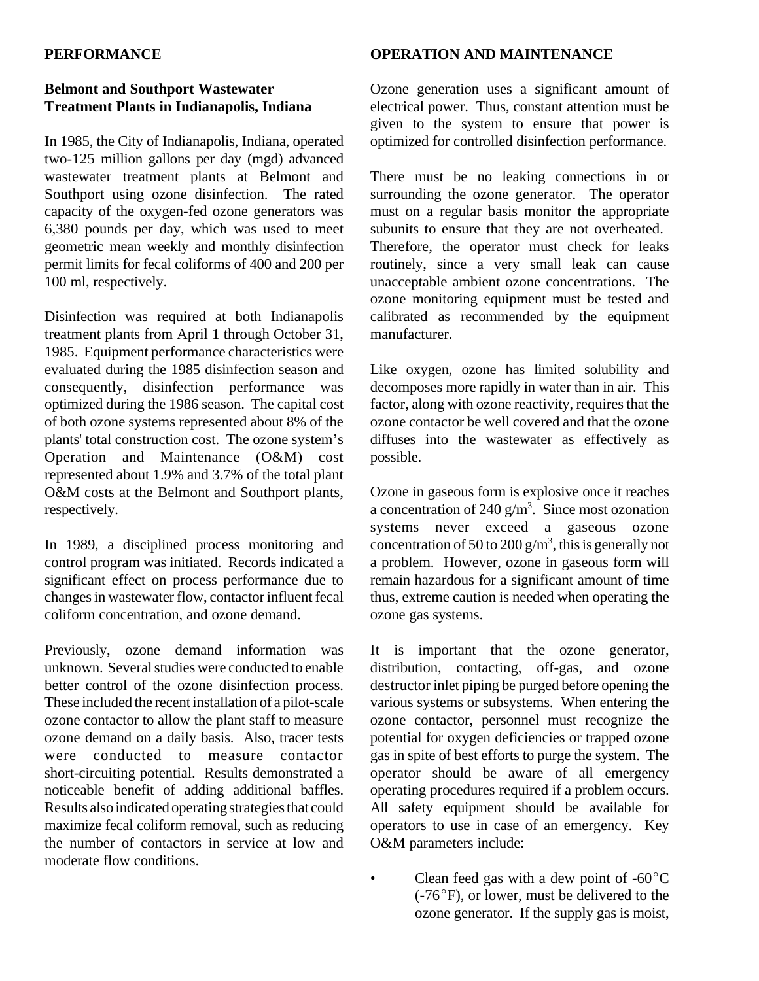## **PERFORMANCE**

# **Belmont and Southport Wastewater Treatment Plants in Indianapolis, Indiana**

In 1985, the City of Indianapolis, Indiana, operated two-125 million gallons per day (mgd) advanced wastewater treatment plants at Belmont and Southport using ozone disinfection. The rated capacity of the oxygen-fed ozone generators was 6,380 pounds per day, which was used to meet geometric mean weekly and monthly disinfection permit limits for fecal coliforms of 400 and 200 per 100 ml, respectively.

Disinfection was required at both Indianapolis treatment plants from April 1 through October 31, 1985. Equipment performance characteristics were evaluated during the 1985 disinfection season and consequently, disinfection performance was optimized during the 1986 season. The capital cost of both ozone systems represented about 8% of the plants' total construction cost. The ozone system's Operation and Maintenance (O&M) cost represented about 1.9% and 3.7% of the total plant O&M costs at the Belmont and Southport plants, respectively.

In 1989, a disciplined process monitoring and control program was initiated. Records indicated a significant effect on process performance due to changes in wastewater flow, contactor influent fecal coliform concentration, and ozone demand.

Previously, ozone demand information was unknown. Several studies were conducted to enable better control of the ozone disinfection process. These included the recent installation of a pilot-scale ozone contactor to allow the plant staff to measure ozone demand on a daily basis. Also, tracer tests were conducted to measure contactor short-circuiting potential. Results demonstrated a noticeable benefit of adding additional baffles. Results also indicated operating strategies that could maximize fecal coliform removal, such as reducing the number of contactors in service at low and moderate flow conditions.

## **OPERATION AND MAINTENANCE**

Ozone generation uses a significant amount of electrical power. Thus, constant attention must be given to the system to ensure that power is optimized for controlled disinfection performance.

There must be no leaking connections in or surrounding the ozone generator. The operator must on a regular basis monitor the appropriate subunits to ensure that they are not overheated. Therefore, the operator must check for leaks routinely, since a very small leak can cause unacceptable ambient ozone concentrations. The ozone monitoring equipment must be tested and calibrated as recommended by the equipment manufacturer.

Like oxygen, ozone has limited solubility and decomposes more rapidly in water than in air. This factor, along with ozone reactivity, requires that the ozone contactor be well covered and that the ozone diffuses into the wastewater as effectively as possible.

Ozone in gaseous form is explosive once it reaches a concentration of 240  $g/m<sup>3</sup>$ . Since most ozonation systems never exceed a gaseous ozone concentration of 50 to 200  $g/m<sup>3</sup>$ , this is generally not a problem. However, ozone in gaseous form will remain hazardous for a significant amount of time thus, extreme caution is needed when operating the ozone gas systems.

It is important that the ozone generator, distribution, contacting, off-gas, and ozone destructor inlet piping be purged before opening the various systems or subsystems. When entering the ozone contactor, personnel must recognize the potential for oxygen deficiencies or trapped ozone gas in spite of best efforts to purge the system. The operator should be aware of all emergency operating procedures required if a problem occurs. All safety equipment should be available for operators to use in case of an emergency. Key O&M parameters include:

Clean feed gas with a dew point of  $-60^{\circ}$ C  $(-76^{\circ}F)$ , or lower, must be delivered to the ozone generator. If the supply gas is moist,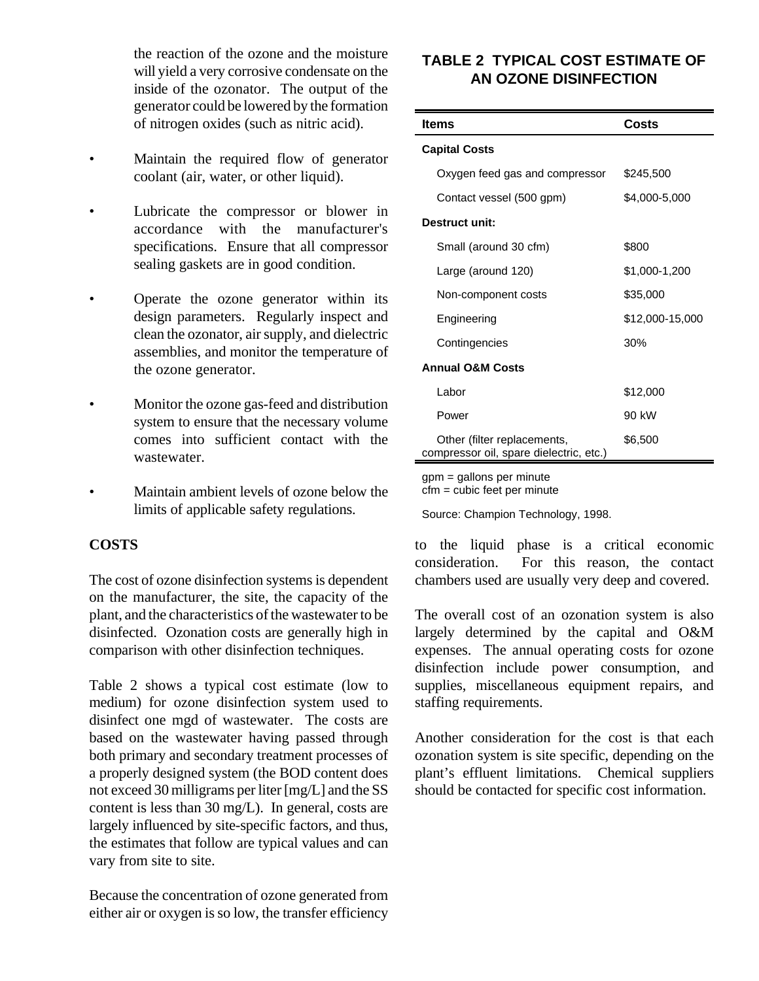the reaction of the ozone and the moisture will yield a very corrosive condensate on the inside of the ozonator. The output of the generator could be lowered by the formation of nitrogen oxides (such as nitric acid).

- Maintain the required flow of generator coolant (air, water, or other liquid).
- Lubricate the compressor or blower in accordance with the manufacturer's specifications. Ensure that all compressor sealing gaskets are in good condition.
- Operate the ozone generator within its design parameters. Regularly inspect and clean the ozonator, air supply, and dielectric assemblies, and monitor the temperature of the ozone generator.
- Monitor the ozone gas-feed and distribution system to ensure that the necessary volume comes into sufficient contact with the wastewater.
- Maintain ambient levels of ozone below the limits of applicable safety regulations.

## **COSTS**

The cost of ozone disinfection systems is dependent on the manufacturer, the site, the capacity of the plant, and the characteristics of the wastewater to be disinfected. Ozonation costs are generally high in comparison with other disinfection techniques.

Table 2 shows a typical cost estimate (low to medium) for ozone disinfection system used to disinfect one mgd of wastewater. The costs are based on the wastewater having passed through both primary and secondary treatment processes of a properly designed system (the BOD content does not exceed 30 milligrams per liter [mg/L] and the SS content is less than 30 mg/L). In general, costs are largely influenced by site-specific factors, and thus, the estimates that follow are typical values and can vary from site to site.

Because the concentration of ozone generated from either air or oxygen is so low, the transfer efficiency

# **TABLE 2 TYPICAL COST ESTIMATE OF AN OZONE DISINFECTION**

| <b>Items</b>                                                           | Costs           |
|------------------------------------------------------------------------|-----------------|
| <b>Capital Costs</b>                                                   |                 |
| Oxygen feed gas and compressor                                         | \$245,500       |
| Contact vessel (500 gpm)                                               | \$4,000-5,000   |
| Destruct unit:                                                         |                 |
| Small (around 30 cfm)                                                  | \$800           |
| Large (around 120)                                                     | \$1,000-1,200   |
| Non-component costs                                                    | \$35,000        |
| Engineering                                                            | \$12,000-15,000 |
| Contingencies                                                          | 30%             |
| <b>Annual O&amp;M Costs</b>                                            |                 |
| Labor                                                                  | \$12,000        |
| Power                                                                  | 90 kW           |
| Other (filter replacements,<br>compressor oil, spare dielectric, etc.) | \$6,500         |

gpm = gallons per minute cfm = cubic feet per minute

Source: Champion Technology, 1998.

to the liquid phase is a critical economic consideration. For this reason, the contact chambers used are usually very deep and covered.

The overall cost of an ozonation system is also largely determined by the capital and O&M expenses. The annual operating costs for ozone disinfection include power consumption, and supplies, miscellaneous equipment repairs, and staffing requirements.

Another consideration for the cost is that each ozonation system is site specific, depending on the plant's effluent limitations. Chemical suppliers should be contacted for specific cost information.